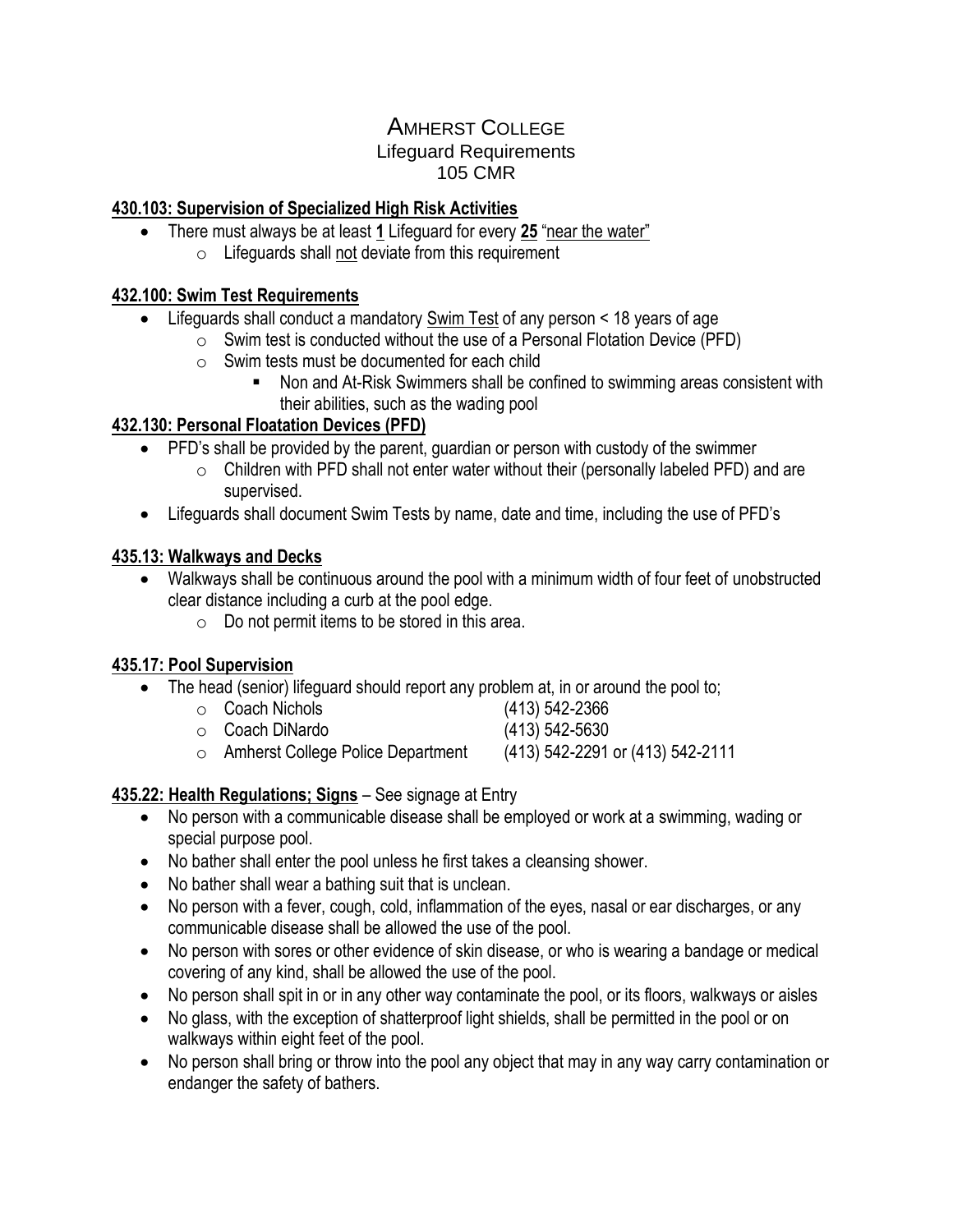# AMHERST COLLEGE Lifeguard Requirements 105 CMR

## **430.103: Supervision of Specialized High Risk Activities**

- There must always be at least **1** Lifeguard for every **25** "near the water"
	- $\circ$  Lifeguards shall not deviate from this requirement

#### **432.100: Swim Test Requirements**

- Lifeguards shall conduct a mandatory Swim Test of any person < 18 years of age
	- $\circ$  Swim test is conducted without the use of a Personal Flotation Device (PFD)
	- o Swim tests must be documented for each child
		- Non and At-Risk Swimmers shall be confined to swimming areas consistent with their abilities, such as the wading pool

## **432.130: Personal Floatation Devices (PFD)**

- PFD's shall be provided by the parent, guardian or person with custody of the swimmer
	- $\circ$  Children with PFD shall not enter water without their (personally labeled PFD) and are supervised.
- Lifeguards shall document Swim Tests by name, date and time, including the use of PFD's

## **435.13: Walkways and Decks**

- Walkways shall be continuous around the pool with a minimum width of four feet of unobstructed clear distance including a curb at the pool edge.
	- $\circ$  Do not permit items to be stored in this area.

#### **435.17: Pool Supervision**

- The head (senior) lifeguard should report any problem at, in or around the pool to;
	- $\circ$  Coach Nichols (413) 542-2366 o Coach DiNardo (413) 542-5630
		-
	- $\circ$  Amherst College Police Department (413) 542-2291 or (413) 542-2111

#### **435.22: Health Regulations; Signs** – See signage at Entry

- No person with a communicable disease shall be employed or work at a swimming, wading or special purpose pool.
- No bather shall enter the pool unless he first takes a cleansing shower.
- No bather shall wear a bathing suit that is unclean.
- No person with a fever, cough, cold, inflammation of the eyes, nasal or ear discharges, or any communicable disease shall be allowed the use of the pool.
- No person with sores or other evidence of skin disease, or who is wearing a bandage or medical covering of any kind, shall be allowed the use of the pool.
- No person shall spit in or in any other way contaminate the pool, or its floors, walkways or aisles
- No glass, with the exception of shatterproof light shields, shall be permitted in the pool or on walkways within eight feet of the pool.
- No person shall bring or throw into the pool any object that may in any way carry contamination or endanger the safety of bathers.